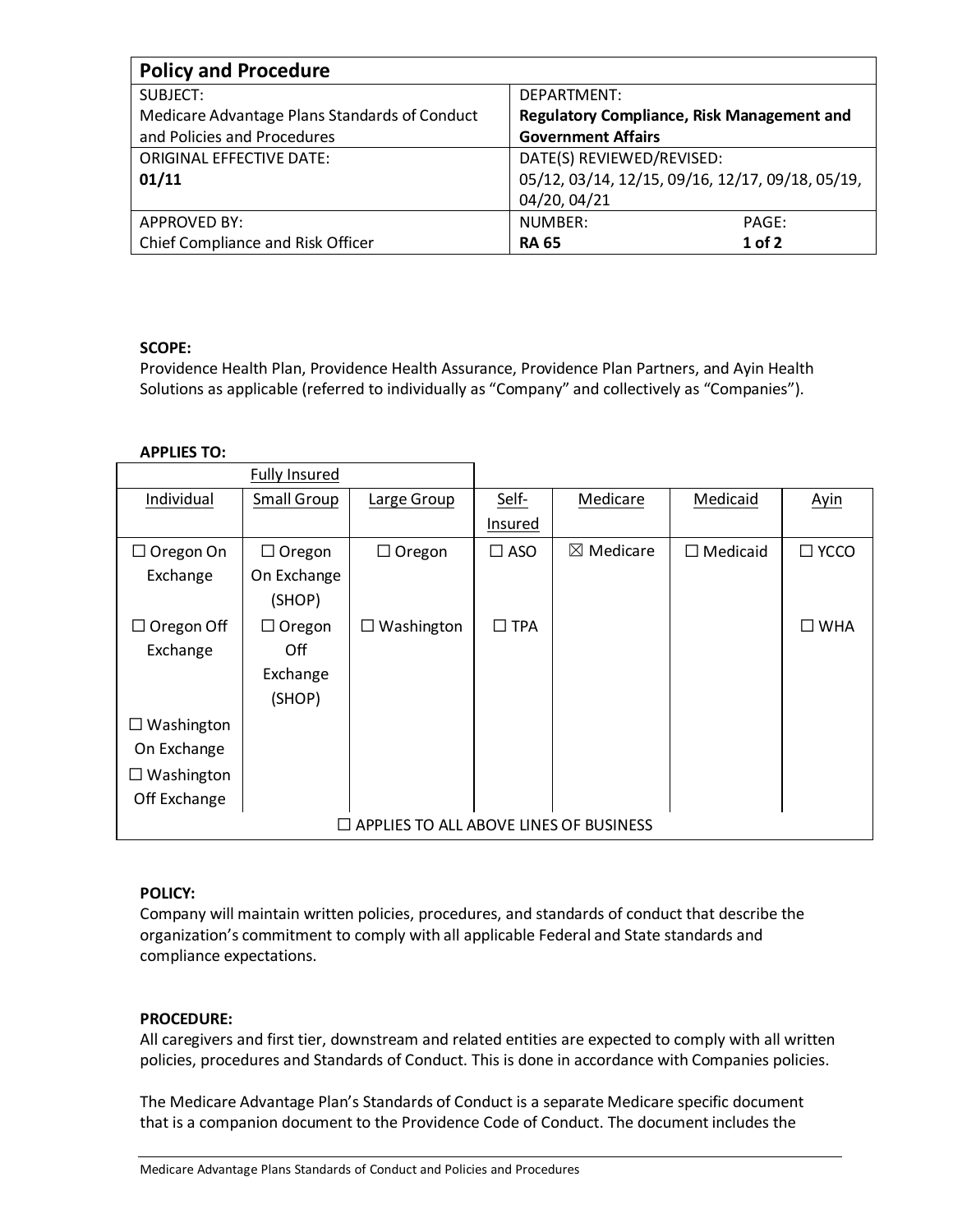| <b>Policy and Procedure</b>                   |                                                   |  |  |  |  |
|-----------------------------------------------|---------------------------------------------------|--|--|--|--|
| SUBJECT:                                      | DEPARTMENT:                                       |  |  |  |  |
| Medicare Advantage Plans Standards of Conduct | <b>Regulatory Compliance, Risk Management and</b> |  |  |  |  |
| and Policies and Procedures                   | <b>Government Affairs</b>                         |  |  |  |  |
| <b>ORIGINAL EFFECTIVE DATE:</b>               | DATE(S) REVIEWED/REVISED:                         |  |  |  |  |
| 01/11                                         | 05/12, 03/14, 12/15, 09/16, 12/17, 09/18, 05/19,  |  |  |  |  |
|                                               | 04/20, 04/21                                      |  |  |  |  |
| <b>APPROVED BY:</b>                           | NUMBER:<br>PAGE:                                  |  |  |  |  |
| Chief Compliance and Risk Officer             | $1$ of 2<br><b>RA 65</b>                          |  |  |  |  |

# **SCOPE:**

Providence Health Plan, Providence Health Assurance, Providence Plan Partners, and Ayin Health Solutions as applicable (referred to individually as "Company" and collectively as "Companies").

## **APPLIES TO:**

|                                               | <b>Fully Insured</b> |                 |                      |                      |                 |                |
|-----------------------------------------------|----------------------|-----------------|----------------------|----------------------|-----------------|----------------|
| Individual                                    | Small Group          | Large Group     | Self-                | Medicare             | Medicaid        | <b>Ayin</b>    |
|                                               |                      |                 | Insured              |                      |                 |                |
| $\Box$ Oregon On                              | $\Box$ Oregon        | $\Box$ Oregon   | $\square$ ASO        | $\boxtimes$ Medicare | $\Box$ Medicaid | $\square$ YCCO |
| Exchange                                      | On Exchange          |                 |                      |                      |                 |                |
|                                               | (SHOP)               |                 |                      |                      |                 |                |
| $\Box$ Oregon Off                             | $\Box$ Oregon        | Washington<br>⊔ | <b>TPA</b><br>$\Box$ |                      |                 | $\square$ WHA  |
| Exchange                                      | Off                  |                 |                      |                      |                 |                |
|                                               | Exchange             |                 |                      |                      |                 |                |
|                                               | (SHOP)               |                 |                      |                      |                 |                |
| Washington<br>ப                               |                      |                 |                      |                      |                 |                |
| On Exchange                                   |                      |                 |                      |                      |                 |                |
| $\Box$ Washington                             |                      |                 |                      |                      |                 |                |
| Off Exchange                                  |                      |                 |                      |                      |                 |                |
| $\Box$ APPLIES TO ALL ABOVE LINES OF BUSINESS |                      |                 |                      |                      |                 |                |

### **POLICY:**

Company will maintain written policies, procedures, and standards of conduct that describe the organization's commitment to comply with all applicable Federal and State standards and compliance expectations.

### **PROCEDURE:**

All caregivers and first tier, downstream and related entities are expected to comply with all written policies, procedures and Standards of Conduct. This is done in accordance with Companies policies.

The Medicare Advantage Plan's Standards of Conduct is a separate Medicare specific document that is a companion document to the Providence Code of Conduct. The document includes the